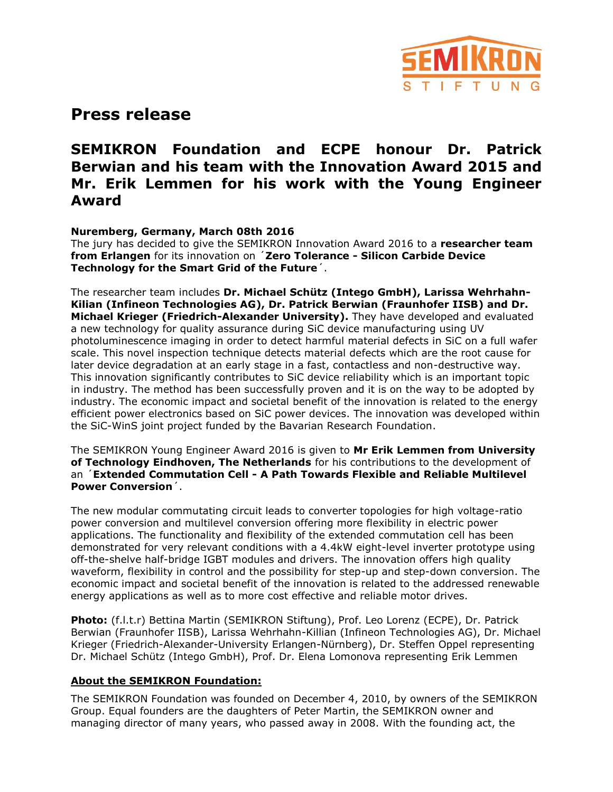

# **Press release**

# **SEMIKRON Foundation and ECPE honour Dr. Patrick Berwian and his team with the Innovation Award 2015 and Mr. Erik Lemmen for his work with the Young Engineer Award**

### **Nuremberg, Germany, March 08th 2016**

The jury has decided to give the SEMIKRON Innovation Award 2016 to a **researcher team from Erlangen** for its innovation on ´**Zero Tolerance - Silicon Carbide Device Technology for the Smart Grid of the Future**´.

The researcher team includes **Dr. Michael Schütz (Intego GmbH), Larissa Wehrhahn-Kilian (Infineon Technologies AG), Dr. Patrick Berwian (Fraunhofer IISB) and Dr. Michael Krieger (Friedrich-Alexander University).** They have developed and evaluated a new technology for quality assurance during SiC device manufacturing using UV photoluminescence imaging in order to detect harmful material defects in SiC on a full wafer scale. This novel inspection technique detects material defects which are the root cause for later device degradation at an early stage in a fast, contactless and non-destructive way. This innovation significantly contributes to SiC device reliability which is an important topic in industry. The method has been successfully proven and it is on the way to be adopted by industry. The economic impact and societal benefit of the innovation is related to the energy efficient power electronics based on SiC power devices. The innovation was developed within the SiC-WinS joint project funded by the Bavarian Research Foundation.

The SEMIKRON Young Engineer Award 2016 is given to **Mr Erik Lemmen from University of Technology Eindhoven, The Netherlands** for his contributions to the development of an ´**Extended Commutation Cell - A Path Towards Flexible and Reliable Multilevel Power Conversion**´.

The new modular commutating circuit leads to converter topologies for high voltage-ratio power conversion and multilevel conversion offering more flexibility in electric power applications. The functionality and flexibility of the extended commutation cell has been demonstrated for very relevant conditions with a 4.4kW eight-level inverter prototype using off-the-shelve half-bridge IGBT modules and drivers. The innovation offers high quality waveform, flexibility in control and the possibility for step-up and step-down conversion. The economic impact and societal benefit of the innovation is related to the addressed renewable energy applications as well as to more cost effective and reliable motor drives.

**Photo:** (f.l.t.r) Bettina Martin (SEMIKRON Stiftung), Prof. Leo Lorenz (ECPE), Dr. Patrick Berwian (Fraunhofer IISB), Larissa Wehrhahn-Killian (Infineon Technologies AG), Dr. Michael Krieger (Friedrich-Alexander-University Erlangen-Nürnberg), Dr. Steffen Oppel representing Dr. Michael Schütz (Intego GmbH), Prof. Dr. Elena Lomonova representing Erik Lemmen

### **About the SEMIKRON Foundation:**

The SEMIKRON Foundation was founded on December 4, 2010, by owners of the SEMIKRON Group. Equal founders are the daughters of Peter Martin, the SEMIKRON owner and managing director of many years, who passed away in 2008. With the founding act, the